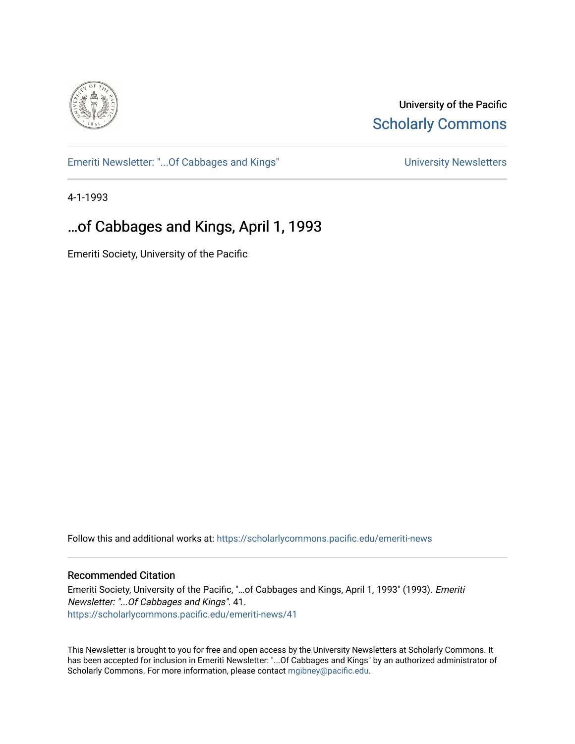

University of the Pacific **Scholarly Commons** 

[Emeriti Newsletter: "...Of Cabbages and Kings"](https://scholarlycommons.pacific.edu/emeriti-news) Newsletters University Newsletters

4-1-1993

# …of Cabbages and Kings, April 1, 1993

Emeriti Society, University of the Pacific

Follow this and additional works at: [https://scholarlycommons.pacific.edu/emeriti-news](https://scholarlycommons.pacific.edu/emeriti-news?utm_source=scholarlycommons.pacific.edu%2Femeriti-news%2F41&utm_medium=PDF&utm_campaign=PDFCoverPages)

## Recommended Citation

Emeriti Society, University of the Pacific, "…of Cabbages and Kings, April 1, 1993" (1993). Emeriti Newsletter: "...Of Cabbages and Kings". 41. [https://scholarlycommons.pacific.edu/emeriti-news/41](https://scholarlycommons.pacific.edu/emeriti-news/41?utm_source=scholarlycommons.pacific.edu%2Femeriti-news%2F41&utm_medium=PDF&utm_campaign=PDFCoverPages) 

This Newsletter is brought to you for free and open access by the University Newsletters at Scholarly Commons. It has been accepted for inclusion in Emeriti Newsletter: "...Of Cabbages and Kings" by an authorized administrator of Scholarly Commons. For more information, please contact [mgibney@pacific.edu.](mailto:mgibney@pacific.edu)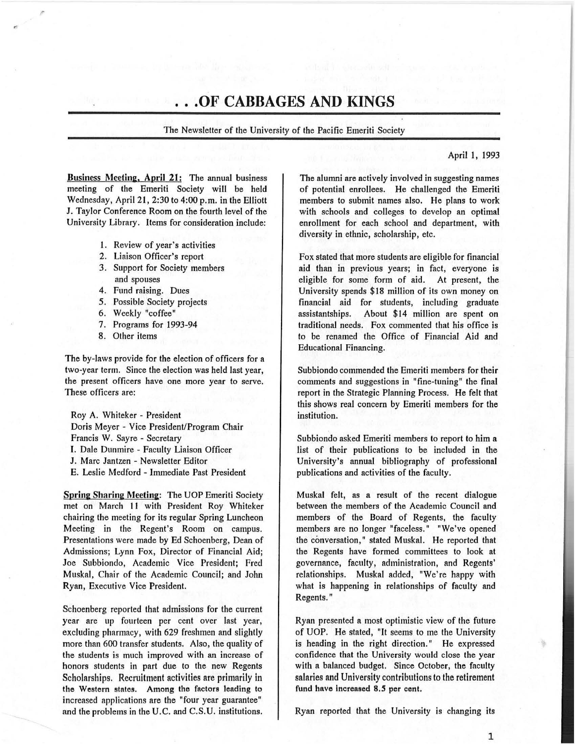# **... OF CABBAGES AND KINGS**

The Newsletter of the University of the Pacific Emeriti Society

Business Meeting, April 21: The annual business meeting of the Emeriti Society will be held Wednesday, April 21, 2:30 to 4:00 p.m. in the Elliott J. Taylor Conference Room on the fourth level of the University Library. Items for consideration include:

- 1. Review of year's activities
- 2. Liaison Officer's report
- 3. Support for Society members and spouses
- 4. Fund raising. Dues
- *5.* Possible Society projects
- 6. Weekly "coffee"
- 7. Programs for 1993-94
- 8. Other items

The by-laws provide for the election of officers for a two-year term. Since the election was held last year, the present officers have one more year to serve. These officers are:

Roy A. Whiteker - President Doris Meyer - Vice President/Program Chair Francis W. Sayre - Secretary I. Dale Dunmire - Faculty Liaison Officer J. Marc Jantzen - Newsletter Editor E. Leslie Medford - Immediate Past President

Spring Sharing Meeting: The UOP Emeriti Society met on Mnrch II with President Roy Whiteker chairing the meeting for its regular Spring Luncheon Meeting in the Regent's Room on campus. Presentations were made by Ed Schoenberg, Dean of Admissions; Lynn Fox, Director of Financial Aid; Joe Subbiondo, Academic Vice President; Fred Muska!, Chair of the Academic Council; and John Ryan, Executive Vice President.

Schoenberg reported that admissions for the current year are up fourteen per cent over last year, excluding pharmacy, with 629 freshmen and slightly more than 600 transfer students. Also, the quality of the students is much improved with an increase of honors students in part due to the new Regents Scholarships. Recruitment activities are primarily in the Western states. Among the fnctors lending to increased applications are the "four year guarantee" and the problems in the U.C. and C.S.U. institutions.

April 1, 1993

The alumni are actively involved in suggesting names of potential enrollees. He challenged the Emeriti members to submit names also. He plans to work with schools and colleges to develop an optimal enrollment for each school and department, with diversity in ethnic, scholarship, etc.

Fox stated that more students are eligible for financial aid than in previous years; in fact, everyone is eligible for some form of aid. At present, the University spends \$18 million of its own money on financial aid for students, including graduate assistantships. About \$14 million are spent on traditional needs. Fox commented that his office is to be renamed the Office of Financial Aid and Educational Financing.

Subbiondo commended the Emeriti members for their comments and suggestions in "fine-tuning" the final report in the Strategic Planning Process. He felt that this shows real concern by Emeriti members for the institution.

Subbiondo asked Emeriti members to report to him a list of their publications to be included in the University's annual bibliography of professional publications and activities of the faculty.

Muska! felt, as a result of the recent dialogue between the members of the Academic Council and members of the Board of Regents, the faculty members are no longer "faceless." "We've opened the conversation," stated Muskal. He reported that the Regents have formed committees to look at governance, faculty, administration, and Regents' relationships. Muska! added, "We're happy with what is happening in relationships of faculty and Regents."

Ryan presented a most optimistic view of the future of UOP. He stated, "It seems to me the University is heading in the right direction." He expressed confidence that the University would close the year with a balanced budget. Since October, the faculty salaries and University contributions to the retirement fund have increased 8.5 per cent.

Ryan reported that the University is changing its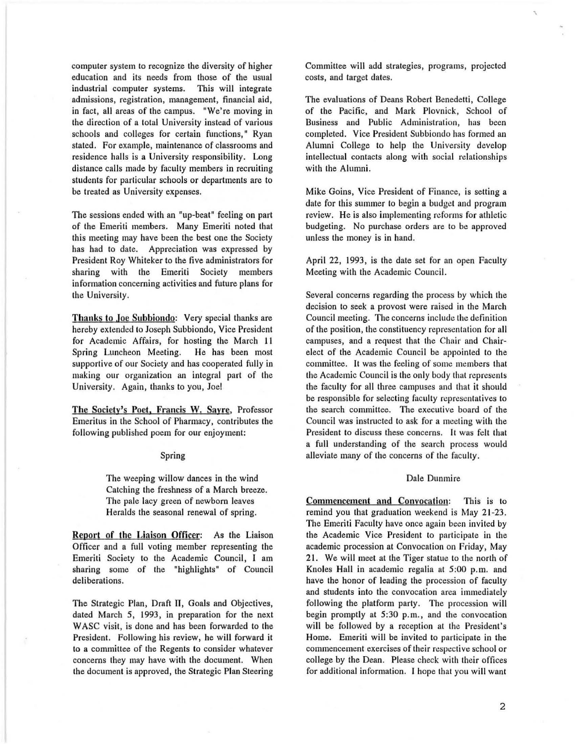computer system to recognize the diversity of higher education and its needs from those of the usual industrial computer systems. This will integrate admissions, registration, management, financial aid, in fact, all areas of the campus. "We're moving in the direction of a total University instead of various schools and colleges for certain functions," Ryan stated. For example, maintenance of classrooms and residence halls is a University responsibility. Long distance calls made by faculty members in recruiting students for particular schools or departments are to be treated as University expenses.

The sessions ended with an "up-beat" feeling on part of the Emeriti members. Many Emeriti noted that this meeting may have been the best one the Society has had to date. Appreciation was expressed by President Roy Whiteker to the five administrators for sharing with the Emeriti Society members information concerning activities and future plans for the University.

Thanks to Joe Subbiondo: Very special thanks are hereby extended to Joseph Subbiondo, Vice President for Academic Affairs, for hosting the March II Spring Luncheon Meeting. He has been most supportive of our Society and has cooperated fully in making our organization an integral part of the University. Again, thanks to you, Joe!

The Society's Poet, Francis W. Sayre, Professor Emeritus in the School of Pharmacy, contributes the following published poem for our enjoyment:

#### Spring

The weeping willow dances in the wind Catching the freshness of a March breeze. The pale lacy green of newborn leaves Heralds the seasonal renewal of spring.

Report of the Liaison Officer: As the Liaison Officer and a full voting member representing the Emeriti Society to the Academic Council, I am sharing some of the "highlights" of Council deliberations.

The Strategic Plan, Draft II, Goals and Objectives, dated March *5,* 1993, in preparation for the next WASC visit, is done and has been forwarded to the President. Following his review, he will forward it to a committee of the Regents to consider whatever concerns they may have with the document. When the document is approved, the Strategic Plan Steering

Committee will add strategies, programs, projected costs, and target dates.

'

The evaluations of Deans Robert Benedetti, College of the Pacific, and Mark Plovnick, School of Business and Public Administration, has been completed. Vice President Subbiondo has formed an Alumni College to help the University develop intellectual contacts along with social relationships with the Alumni.

Mike Goins, Vice President of Finance, is setting a date for this summer to begin a budget and program review. He is also implementing reforms for athletic budgeting. No purchase orders are to be approved unless the money is in hand.

April 22, 1993, is the date set for an open Faculty Meeting with the Academic Council.

Several concerns regarding the process by which the decision to seek a provost were raised in the March Council meeting. The concerns include the definition of the position , the constituency representation for all campuses, and a request that the Chair and Chairelect of the Academic Council be appointed to the committee. It was the feeling of some members that the Academic Council is the only body that represents the faculty for all three campuses and that it should be responsible for selecting faculty representatives to the search committee. The executive board of the Council was instructed to ask for a meeting with the President to discuss these concerns. It was felt that a full understanding of the search process would alleviate many of the concerns of the faculty.

#### Dale Dunmire

Commencement and Convocation: This is to remind you that graduation weekend is May 21-23. The Emeriti Faculty have once again been invited by the Academic Vice President to participate in the academic procession at Convocation on Friday, May 21. We will meet at the Tiger statue to the north of Knoles Hall in academic regalia at 5:00 p.m. and have the honor of leading the procession of faculty and students into the convocation area immediately following the platform party. The procession will begin promptly at 5:30 p.m., and the convocation will be followed by a reception at the President's Home. Emeriti will be invited to participate in the commencement exercises of their respective school or college by the Dean. Please check with their offices for additional information. I hope that you will want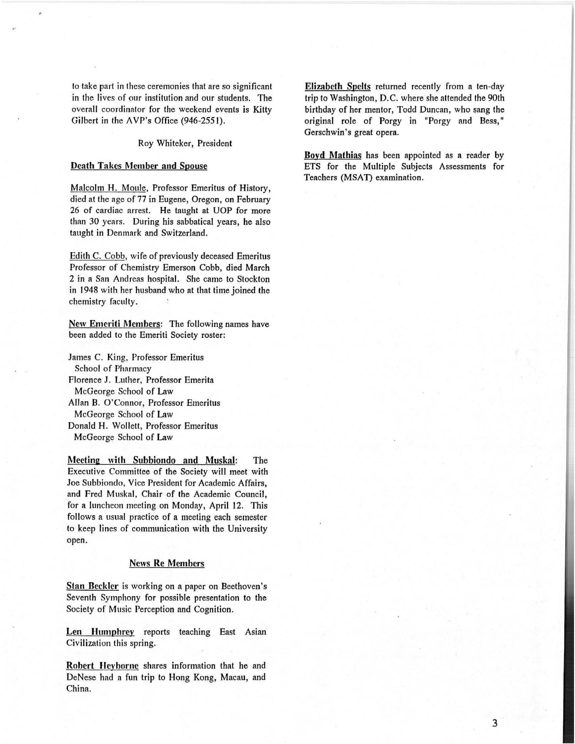to take part in these ceremonies that are so significant in the lives of our institution and our students. The overall coordinator for the weekend events is Kitty Gilbert in the AVP's Office (946-2551).

#### Roy Whiteker, President

#### Death Takes Member and Spouse

Malcolm H. Moule, Professor Emeritus of History, died at the age of 77 in Eugene, Oregon, on February 26 of cardiac arrest. He taught at UOP for more than 30 years. During his sabbatical years, he also taught in Denmark and Switzerland.

Edith C. Cobb, wife of previously deceased Emeritus Professor of Chemistry Emerson Cobb, died March 2 in n San Andreas hospital. She came to Stockton in 1948 with her husband who at that time joined the chemistry faculty.

New Emeriti Members: The following names have been added to the Emeriti Society roster:

James C. King, Professor Emeritus School of Pharmacy Florence J. Luther, Professor Emerita McGeorge School of Law Allan B. O'Connor, Professor Emeritus McGeorge School of Law Donald H. Wollett, Professor Emeritus McGeorge School of Law

Meeting with Subbiondo and Muskal: The Executive Committee of the Society will meet with Joe Subbiondo, Vice President for Academic Affairs, and Fred Muskal, Chair of the Academic Council, for a luncheon meeting on Monday, April 12. This follows a usual practice of a meeting each semester to keep lines of communication with the University open.

#### News Re Members

Stan Beckler is working on a paper on Beethoven's Seventh Symphony for possible presentation to the Society of Music Perception and Cognition.

Len Humphrey reports teaching East Asian Civilization this spring.

Robert Heyborne shares information that he and DeNese had a fun trip to Hong Kong, Macau, and China.

Elizabeth Spelts returned recently from a ten-day trip to Washington, D.C. where she attended the 90th birthday of her mentor, Todd Duncan, who sang the original role of Porgy in "Porgy and Bess," Gerschwin's great opera.

Boyd Mathias has been appointed as a reader by ETS for the Multiple Subjects Assessments for Teachers (MSAT) examination.